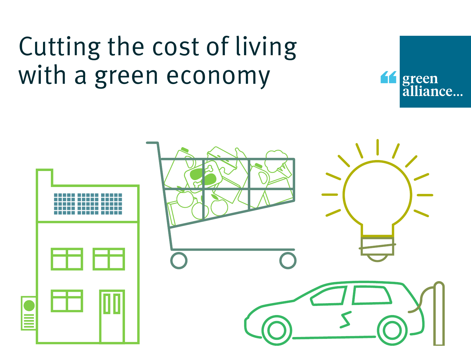# Cutting the cost of living with a green economy



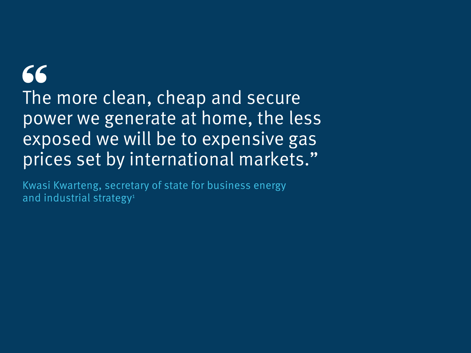# 66

The more clean, cheap and secure power we generate at home, the less exposed we will be to expensive gas prices set by international markets."

Kwasi Kwarteng, secretary of state for business energy and industrial strategy<sup>1</sup>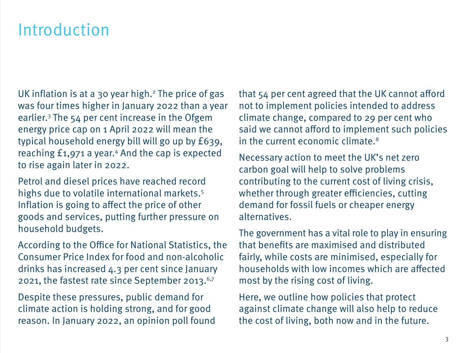## Introduction

UK inflation is at a 30 year high.<sup>2</sup> The price of gas was four times higher in January 2022 than a year earlier.3 The 54 per cent increase in the Ofgem energy price cap on 1 April 2022 will mean the typical household energy bill will go up by £639, reaching £1,971 a year.<sup>4</sup> And the cap is expected to rise again later in 2022.

Petrol and diesel prices have reached record highs due to volatile international markets.5 Inflation is going to affect the price of other goods and services, putting further pressure on household budgets.

According to the Office for National Statistics, the Consumer Price Index for food and non-alcoholic drinks has increased 4.3 per cent since January 2021, the fastest rate since September 2013.<sup>6,7</sup>

Despite these pressures, public demand for climate action is holding strong, and for good reason. In January 2022, an opinion poll found that 54 per cent agreed that the UK cannot afford not to implement policies intended to address climate change, compared to 29 per cent who said we cannot afford to implement such policies in the current economic climate.8

Necessary action to meet the UK's net zero carbon goal will help to solve problems contributing to the current cost of living crisis, whether through greater efficiencies, cutting demand for fossil fuels or cheaper energy alternatives.

The government has a vital role to play in ensuring that benefits are maximised and distributed fairly, while costs are minimised, especially for households with low incomes which are affected most by the rising cost of living.

Here, we outline how policies that protect against climate change will also help to reduce the cost of living, both now and in the future.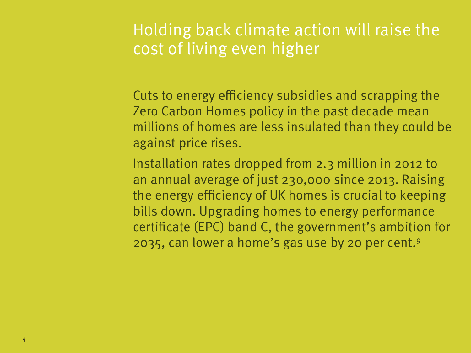## Holding back climate action will raise the cost of living even higher

Cuts to energy efficiency subsidies and scrapping the Zero Carbon Homes policy in the past decade mean millions of homes are less insulated than they could be against price rises.

Installation rates dropped from 2.3 million in 2012 to an annual average of just 230,000 since 2013. Raising the energy efficiency of UK homes is crucial to keeping bills down. Upgrading homes to energy performance certificate (EPC) band C, the government's ambition for 2035, can lower a home's gas use by 20 per cent.9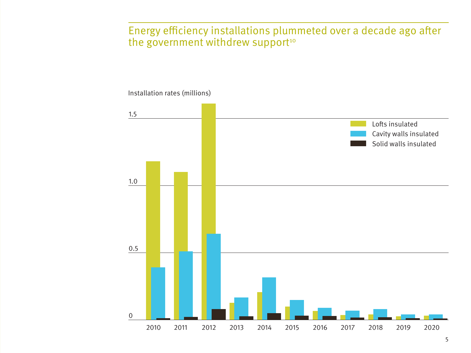#### Energy efficiency installations plummeted over a decade ago after the government withdrew support<sup>10</sup>



Installation rates (millions)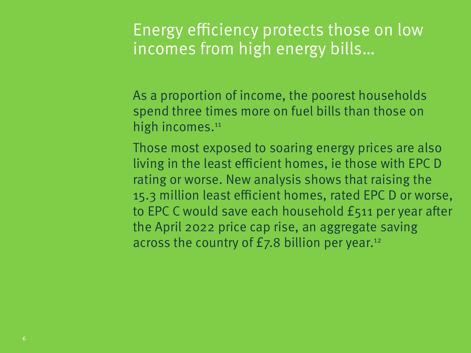## Energy efficiency protects those on low incomes from high energy bills…

As a proportion of income, the poorest households spend three times more on fuel bills than those on high incomes.<sup>11</sup>

Those most exposed to soaring energy prices are also living in the least efficient homes, ie those with EPC D rating or worse. New analysis shows that raising the 15.3 million least efficient homes, rated EPC D or worse, to EPC C would save each household £511 per year after the April 2022 price cap rise, an aggregate saving across the country of  $E$ 7.8 billion per year.<sup>12</sup>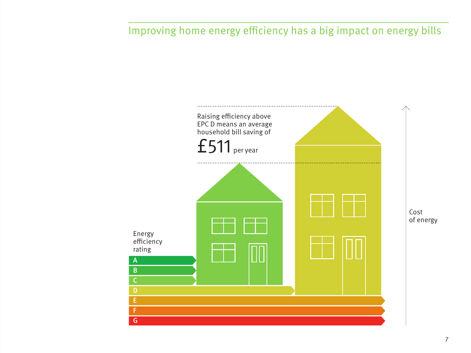### Improving home energy efficiency has a big impact on energy bills

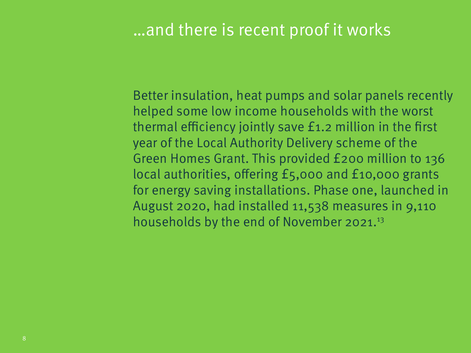### …and there is recent proof it works

Better insulation, heat pumps and solar panels recently helped some low income households with the worst thermal efficiency jointly save £1.2 million in the first year of the Local Authority Delivery scheme of the Green Homes Grant. This provided £200 million to 136 local authorities, offering £5,000 and £10,000 grants for energy saving installations. Phase one, launched in August 2020, had installed 11,538 measures in 9,110 households by the end of November 2021.<sup>13</sup>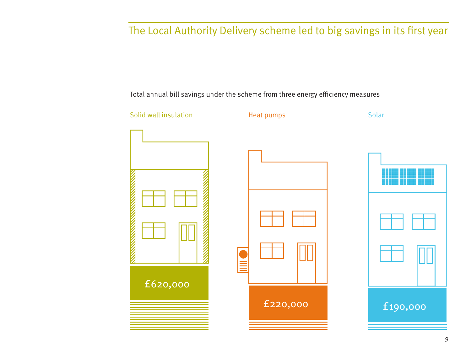### The Local Authority Delivery scheme led to big savings in its first year

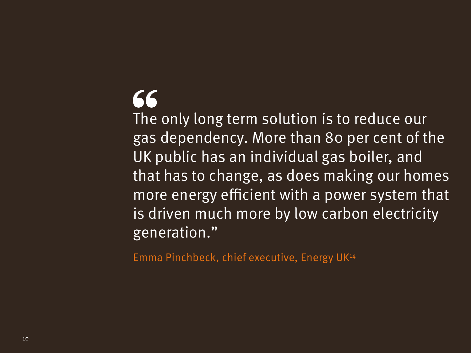# 66 The only long term solution is to reduce our gas dependency. More than 80 per cent of the UK public has an individual gas boiler, and that has to change, as does making our homes more energy efficient with a power system that is driven much more by low carbon electricity generation."

Emma Pinchbeck, chief executive, Energy UK14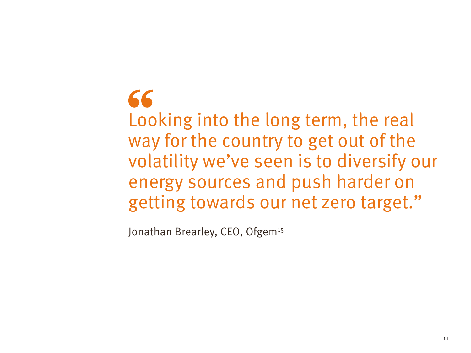66 Looking into the long term, the real way for the country to get out of the volatility we've seen is to diversify our energy sources and push harder on getting towards our net zero target."

Jonathan Brearley, CEO, Ofgem<sup>15</sup>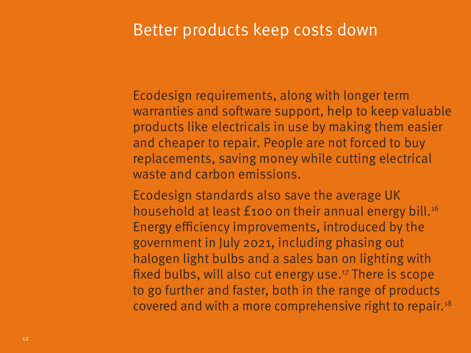### Better products keep costs down

Ecodesign requirements, along with longer term warranties and software support, help to keep valuable products like electricals in use by making them easier and cheaper to repair. People are not forced to buy replacements, saving money while cutting electrical waste and carbon emissions.

Ecodesign standards also save the average UK household at least £100 on their annual energy bill.<sup>16</sup> Energy efficiency improvements, introduced by the government in July 2021, including phasing out halogen light bulbs and a sales ban on lighting with fixed bulbs, will also cut energy use.<sup>17</sup> There is scope to go further and faster, both in the range of products covered and with a more comprehensive right to repair.18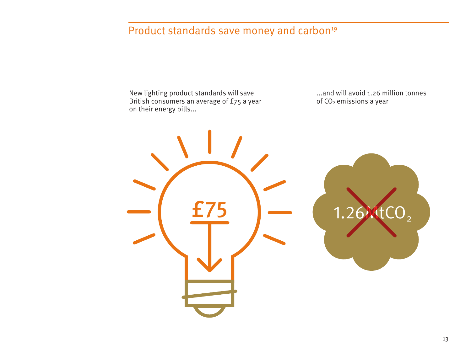### Product standards save money and carbon<sup>19</sup>

£75 New lighting product standards will save British consumers an average of £75 a year on their energy bills... ...and will avoid 1.26 million tonnes of  $CO<sub>2</sub>$  emissions a year 1.26 NtCO<sub>2</sub>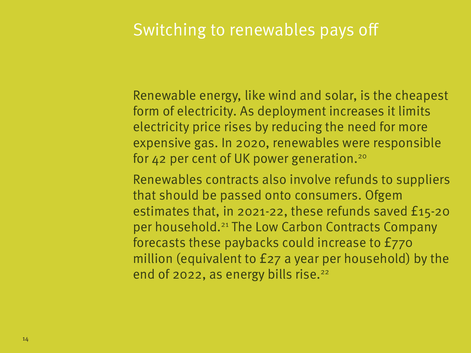### Switching to renewables pays off

Renewable energy, like wind and solar, is the cheapest form of electricity. As deployment increases it limits electricity price rises by reducing the need for more expensive gas. In 2020, renewables were responsible for 42 per cent of UK power generation.20

Renewables contracts also involve refunds to suppliers that should be passed onto consumers. Ofgem estimates that, in 2021-22, these refunds saved £15-20 per household.21 The Low Carbon Contracts Company forecasts these paybacks could increase to £770 million (equivalent to £27 a year per household) by the end of 2022, as energy bills rise.<sup>22</sup>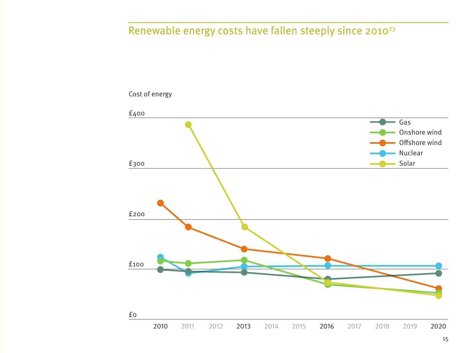### Renewable energy costs have fallen steeply since 2010<sup>23</sup>

Cost of energy

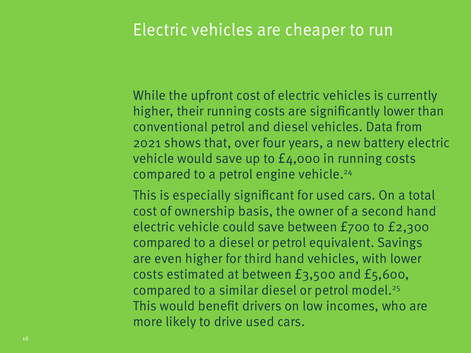### Electric vehicles are cheaper to run

While the upfront cost of electric vehicles is currently higher, their running costs are significantly lower than conventional petrol and diesel vehicles. Data from 2021 shows that, over four years, a new battery electric vehicle would save up to £4,000 in running costs compared to a petrol engine vehicle.<sup>24</sup>

This is especially significant for used cars. On a total cost of ownership basis, the owner of a second hand electric vehicle could save between £700 to £2,300 compared to a diesel or petrol equivalent. Savings are even higher for third hand vehicles, with lower costs estimated at between £3,500 and £5,600, compared to a similar diesel or petrol model.<sup>25</sup> This would benefit drivers on low incomes, who are more likely to drive used cars.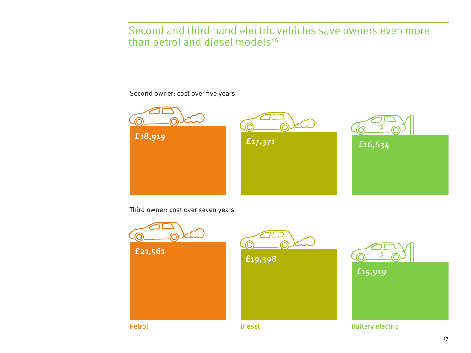#### Second and third hand electric vehicles save owners even more than petrol and diesel models<sup>26</sup>

Second owner: cost over five years



Third owner: cost over seven years

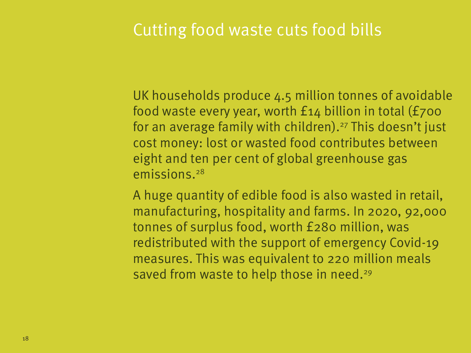### Cutting food waste cuts food bills

UK households produce 4.5 million tonnes of avoidable food waste every year, worth £14 billion in total (£700 for an average family with children).27 This doesn't just cost money: lost or wasted food contributes between eight and ten per cent of global greenhouse gas emissions.28

A huge quantity of edible food is also wasted in retail, manufacturing, hospitality and farms. In 2020, 92,000 tonnes of surplus food, worth £280 million, was redistributed with the support of emergency Covid-19 measures. This was equivalent to 220 million meals saved from waste to help those in need.<sup>29</sup>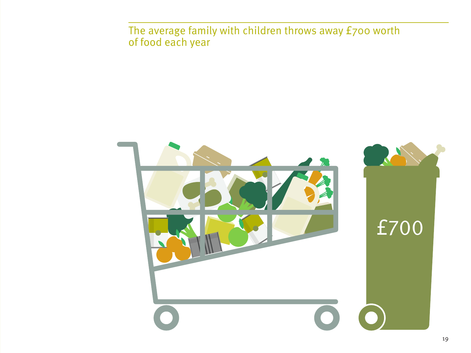The average family with children throws away £700 worth of food each year

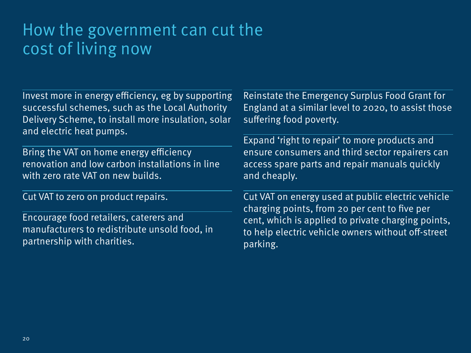## How the government can cut the cost of living now

Invest more in energy efficiency, eg by supporting successful schemes, such as the Local Authority Delivery Scheme, to install more insulation, solar and electric heat pumps.

Bring the VAT on home energy efficiency renovation and low carbon installations in line with zero rate VAT on new builds.

Cut VAT to zero on product repairs.

Encourage food retailers, caterers and manufacturers to redistribute unsold food, in partnership with charities.

Reinstate the Emergency Surplus Food Grant for England at a similar level to 2020, to assist those suffering food poverty.

Expand 'right to repair' to more products and ensure consumers and third sector repairers can access spare parts and repair manuals quickly and cheaply.

Cut VAT on energy used at public electric vehicle charging points, from 20 per cent to five per cent, which is applied to private charging points, to help electric vehicle owners without off-street parking.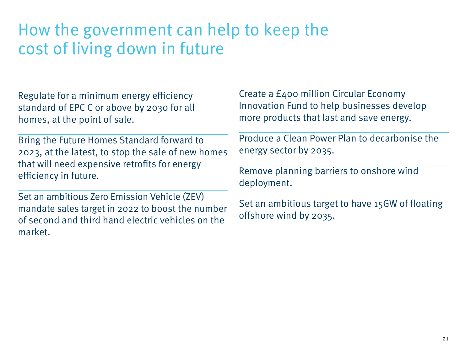## How the government can help to keep the cost of living down in future

| Regulate for a minimum energy efficiency<br>standard of EPC C or above by 2030 for all<br>homes, at the point of sale.                                           | Create a £400 million Circular Economy<br>Innovation Fund to help businesses develop<br>more products that last and save energy. |
|------------------------------------------------------------------------------------------------------------------------------------------------------------------|----------------------------------------------------------------------------------------------------------------------------------|
| Bring the Future Homes Standard forward to<br>2023, at the latest, to stop the sale of new homes<br>that will need expensive retrofits for energy                | Produce a Clean Power Plan to decarbonise the<br>energy sector by 2035.                                                          |
| efficiency in future.                                                                                                                                            | Remove planning barriers to onshore wind<br>deployment.                                                                          |
| Set an ambitious Zero Emission Vehicle (ZEV)<br>mandate sales target in 2022 to boost the number<br>of second and third hand electric vehicles on the<br>market. | Set an ambitious target to have 15GW of floating<br>offshore wind by 2035.                                                       |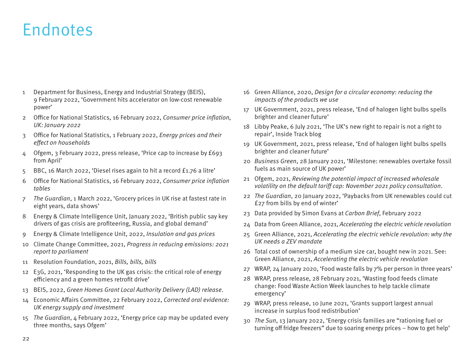### Endnotes

- 1 Department for Business, Energy and Industrial Strategy (BEIS), 9 February 2022, 'Government hits accelerator on low-cost renewable power'
- 2 Office for National Statistics, 16 February 2022, Consumer price inflation, UK: January 2022
- 3 Office for National Statistics, 1 February 2022, Energy prices and their effect on households
- 4 Ofgem, 3 February 2022, press release, 'Price cap to increase by £693 from April'
- 5 BBC, 16 March 2022, 'Diesel rises again to hit a record £1.76 a litre'
- 6 Office for National Statistics, 16 February 2022, Consumer price inflation tables
- 7 The Guardian, 1 March 2022, 'Grocery prices in UK rise at fastest rate in eight years, data shows'
- 8 Energy & Climate Intelligence Unit, January 2022, 'British public say key drivers of gas crisis are profiteering, Russia, and global demand'
- 9 Energy & Climate Intelligence Unit, 2022, Insulation and gas prices
- 10 Climate Change Committee, 2021, Progress in reducing emissions: 2021 report to parliament
- 11 Resolution Foundation, 2021, Bills, bills, bills
- 12 E3G, 2021, 'Responding to the UK gas crisis: the critical role of energy efficiency and a green homes retrofit drive'
- 13 BEIS, 2022, Green Homes Grant Local Authority Delivery (LAD) release.
- 14 Economic Affairs Committee, 22 February 2022, Corrected oral evidence: UK energy supply and investment
- 15 The Guardian, 4 February 2022, 'Energy price cap may be updated every three months, says Ofgem'
- 16 Green Alliance, 2020, Design for a circular economy: reducing the impacts of the products we use
- 17 UK Government, 2021, press release, 'End of halogen light bulbs spells brighter and cleaner future'
- 18 Libby Peake, 6 July 2021, 'The UK's new right to repair is not a right to repair', Inside Track blog
- 19 UK Government, 2021, press release, 'End of halogen light bulbs spells brighter and cleaner future'
- 20 Business Green, 28 January 2021, 'Milestone: renewables overtake fossil fuels as main source of UK power'
- 21 Ofgem, 2021, Reviewing the potential impact of increased wholesale volatility on the default tariff cap: November 2021 policy consultation.
- 22 The Guardian, 20 January 2022, 'Paybacks from UK renewables could cut £27 from bills by end of winter'
- 23 Data provided by Simon Evans at Carbon Brief, February 2022
- 24 Data from Green Alliance, 2021, Accelerating the electric vehicle revolution
- 25 Green Alliance, 2021, Accelerating the electric vehicle revolution: why the UK needs a ZEV mandate
- 26 Total cost of ownership of a medium size car, bought new in 2021. See: Green Alliance, 2021, Accelerating the electric vehicle revolution
- 27 WRAP, 24 January 2020, 'Food waste falls by 7% per person in three years'
- 28 WRAP, press release, 28 February 2021, 'Wasting food feeds climate change: Food Waste Action Week launches to help tackle climate emergency'
- 29 WRAP, press release, 10 June 2021, 'Grants support largest annual increase in surplus food redistribution'
- 30 The Sun, 13 January 2022, 'Energy crisis families are "rationing fuel or turning off fridge freezers" due to soaring energy prices – how to get help'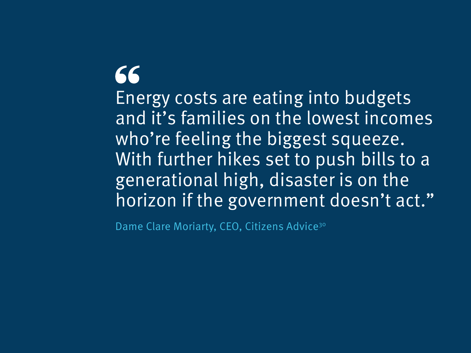# 66 Energy costs are eating into budgets and it's families on the lowest incomes

who're feeling the biggest squeeze. With further hikes set to push bills to a generational high, disaster is on the horizon if the government doesn't act."

Dame Clare Moriarty, CEO, Citizens Advice<sup>30</sup>